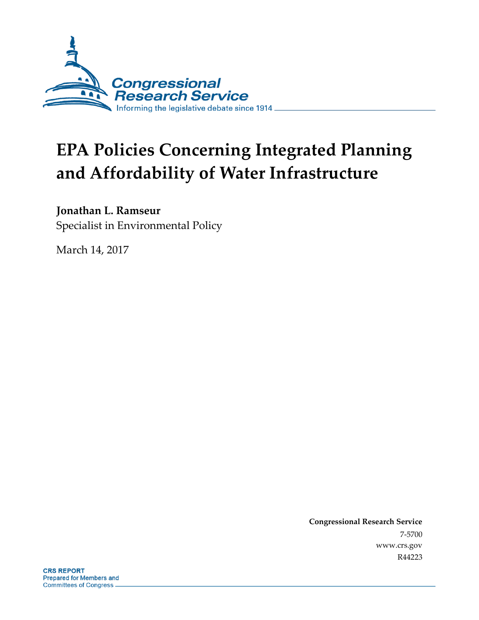

# **EPA Policies Concerning Integrated Planning and Affordability of Water Infrastructure**

#### **Jonathan L. Ramseur**

Specialist in Environmental Policy

March 14, 2017

**Congressional Research Service** 7-5700 www.crs.gov R44223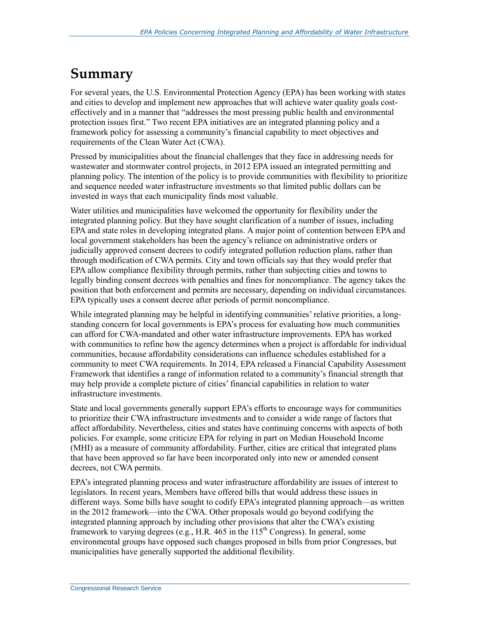### **Summary**

For several years, the U.S. Environmental Protection Agency (EPA) has been working with states and cities to develop and implement new approaches that will achieve water quality goals costeffectively and in a manner that "addresses the most pressing public health and environmental protection issues first." Two recent EPA initiatives are an integrated planning policy and a framework policy for assessing a community's financial capability to meet objectives and requirements of the Clean Water Act (CWA).

Pressed by municipalities about the financial challenges that they face in addressing needs for wastewater and stormwater control projects, in 2012 EPA issued an integrated permitting and planning policy. The intention of the policy is to provide communities with flexibility to prioritize and sequence needed water infrastructure investments so that limited public dollars can be invested in ways that each municipality finds most valuable.

Water utilities and municipalities have welcomed the opportunity for flexibility under the integrated planning policy. But they have sought clarification of a number of issues, including EPA and state roles in developing integrated plans. A major point of contention between EPA and local government stakeholders has been the agency's reliance on administrative orders or judicially approved consent decrees to codify integrated pollution reduction plans, rather than through modification of CWA permits. City and town officials say that they would prefer that EPA allow compliance flexibility through permits, rather than subjecting cities and towns to legally binding consent decrees with penalties and fines for noncompliance. The agency takes the position that both enforcement and permits are necessary, depending on individual circumstances. EPA typically uses a consent decree after periods of permit noncompliance.

While integrated planning may be helpful in identifying communities' relative priorities, a longstanding concern for local governments is EPA's process for evaluating how much communities can afford for CWA-mandated and other water infrastructure improvements. EPA has worked with communities to refine how the agency determines when a project is affordable for individual communities, because affordability considerations can influence schedules established for a community to meet CWA requirements. In 2014, EPA released a Financial Capability Assessment Framework that identifies a range of information related to a community's financial strength that may help provide a complete picture of cities' financial capabilities in relation to water infrastructure investments.

State and local governments generally support EPA's efforts to encourage ways for communities to prioritize their CWA infrastructure investments and to consider a wide range of factors that affect affordability. Nevertheless, cities and states have continuing concerns with aspects of both policies. For example, some criticize EPA for relying in part on Median Household Income (MHI) as a measure of community affordability. Further, cities are critical that integrated plans that have been approved so far have been incorporated only into new or amended consent decrees, not CWA permits.

EPA's integrated planning process and water infrastructure affordability are issues of interest to legislators. In recent years, Members have offered bills that would address these issues in different ways. Some bills have sought to codify EPA's integrated planning approach—as written in the 2012 framework—into the CWA. Other proposals would go beyond codifying the integrated planning approach by including other provisions that alter the CWA's existing framework to varying degrees (e.g., H.R.  $465$  in the 115<sup>th</sup> Congress). In general, some environmental groups have opposed such changes proposed in bills from prior Congresses, but municipalities have generally supported the additional flexibility.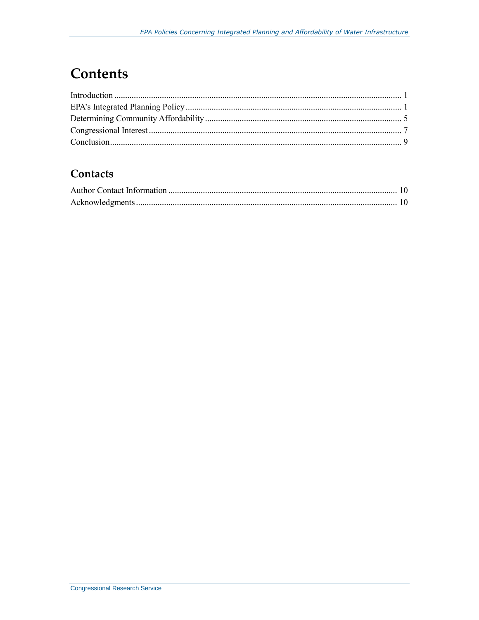### **Contents**

#### Contacts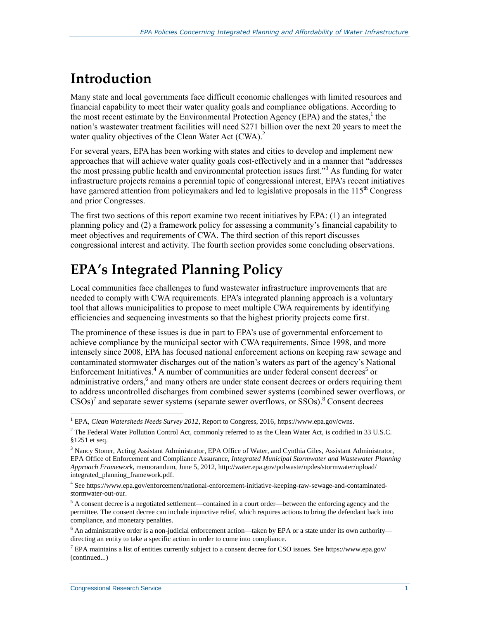### **Introduction**

Many state and local governments face difficult economic challenges with limited resources and financial capability to meet their water quality goals and compliance obligations. According to the most recent estimate by the Environmental Protection Agency (EPA) and the states, $<sup>1</sup>$  the</sup> nation's wastewater treatment facilities will need \$271 billion over the next 20 years to meet the water quality objectives of the Clean Water Act (CWA).<sup>2</sup>

For several years, EPA has been working with states and cities to develop and implement new approaches that will achieve water quality goals cost-effectively and in a manner that "addresses the most pressing public health and environmental protection issues first."<sup>3</sup> As funding for water infrastructure projects remains a perennial topic of congressional interest, EPA's recent initiatives have garnered attention from policymakers and led to legislative proposals in the  $115<sup>th</sup>$  Congress and prior Congresses.

The first two sections of this report examine two recent initiatives by EPA: (1) an integrated planning policy and (2) a framework policy for assessing a community's financial capability to meet objectives and requirements of CWA. The third section of this report discusses congressional interest and activity. The fourth section provides some concluding observations.

# **EPA's Integrated Planning Policy**

Local communities face challenges to fund wastewater infrastructure improvements that are needed to comply with CWA requirements. EPA's integrated planning approach is a voluntary tool that allows municipalities to propose to meet multiple CWA requirements by identifying efficiencies and sequencing investments so that the highest priority projects come first.

The prominence of these issues is due in part to EPA's use of governmental enforcement to achieve compliance by the municipal sector with CWA requirements. Since 1998, and more intensely since 2008, EPA has focused national enforcement actions on keeping raw sewage and contaminated stormwater discharges out of the nation's waters as part of the agency's National Enforcement Initiatives.<sup>4</sup> A number of communities are under federal consent decrees<sup>5</sup> or administrative orders,<sup>6</sup> and many others are under state consent decrees or orders requiring them to address uncontrolled discharges from combined sewer systems (combined sewer overflows, or  $\text{CSOs}$ )<sup>7</sup> and separate sewer systems (separate sewer overflows, or SSOs).<sup>8</sup> Consent decrees

<sup>1</sup> EPA, *Clean Watersheds Needs Survey 2012*, Report to Congress, 2016, https://www.epa.gov/cwns.

<sup>&</sup>lt;sup>2</sup> The Federal Water Pollution Control Act, commonly referred to as the Clean Water Act, is codified in 33 U.S.C. §1251 et seq.

<sup>&</sup>lt;sup>3</sup> Nancy Stoner, Acting Assistant Administrator, EPA Office of Water, and Cynthia Giles, Assistant Administrator, EPA Office of Enforcement and Compliance Assurance, *Integrated Municipal Stormwater and Wastewater Planning Approach Framework*, memorandum, June 5, 2012, http://water.epa.gov/polwaste/npdes/stormwater/upload/ integrated\_planning\_framework.pdf.

<sup>4</sup> See https://www.epa.gov/enforcement/national-enforcement-initiative-keeping-raw-sewage-and-contaminatedstormwater-out-our.

<sup>5</sup> A consent decree is a negotiated settlement—contained in a court order—between the enforcing agency and the permittee. The consent decree can include injunctive relief, which requires actions to bring the defendant back into compliance, and monetary penalties.

 $6$  An administrative order is a non-judicial enforcement action—taken by EPA or a state under its own authority directing an entity to take a specific action in order to come into compliance.

<sup>7</sup> EPA maintains a list of entities currently subject to a consent decree for CSO issues. See https://www.epa.gov/ (continued...)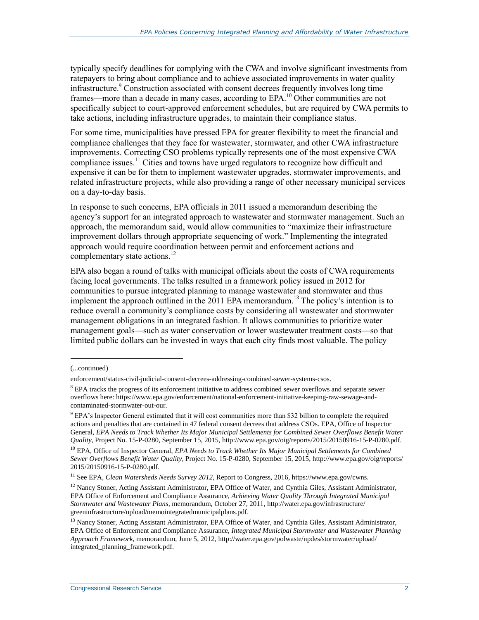typically specify deadlines for complying with the CWA and involve significant investments from ratepayers to bring about compliance and to achieve associated improvements in water quality infrastructure. <sup>9</sup> Construction associated with consent decrees frequently involves long time frames—more than a decade in many cases, according to EPA.<sup>10</sup> Other communities are not specifically subject to court-approved enforcement schedules, but are required by CWA permits to take actions, including infrastructure upgrades, to maintain their compliance status.

For some time, municipalities have pressed EPA for greater flexibility to meet the financial and compliance challenges that they face for wastewater, stormwater, and other CWA infrastructure improvements. Correcting CSO problems typically represents one of the most expensive CWA compliance issues.<sup>11</sup> Cities and towns have urged regulators to recognize how difficult and expensive it can be for them to implement wastewater upgrades, stormwater improvements, and related infrastructure projects, while also providing a range of other necessary municipal services on a day-to-day basis.

In response to such concerns, EPA officials in 2011 issued a memorandum describing the agency's support for an integrated approach to wastewater and stormwater management. Such an approach, the memorandum said, would allow communities to "maximize their infrastructure improvement dollars through appropriate sequencing of work." Implementing the integrated approach would require coordination between permit and enforcement actions and complementary state actions. $12$ 

EPA also began a round of talks with municipal officials about the costs of CWA requirements facing local governments. The talks resulted in a framework policy issued in 2012 for communities to pursue integrated planning to manage wastewater and stormwater and thus implement the approach outlined in the 2011 EPA memorandum.<sup>13</sup> The policy's intention is to reduce overall a community's compliance costs by considering all wastewater and stormwater management obligations in an integrated fashion. It allows communities to prioritize water management goals—such as water conservation or lower wastewater treatment costs—so that limited public dollars can be invested in ways that each city finds most valuable. The policy

<sup>(...</sup>continued)

enforcement/status-civil-judicial-consent-decrees-addressing-combined-sewer-systems-csos.

<sup>8</sup> EPA tracks the progress of its enforcement initiative to address combined sewer overflows and separate sewer overflows here: https://www.epa.gov/enforcement/national-enforcement-initiative-keeping-raw-sewage-andcontaminated-stormwater-out-our.

<sup>9</sup> EPA's Inspector General estimated that it will cost communities more than \$32 billion to complete the required actions and penalties that are contained in 47 federal consent decrees that address CSOs. EPA, Office of Inspector General, *EPA Needs to Track Whether Its Major Municipal Settlements for Combined Sewer Overflows Benefit Water Quality*, Project No. 15-P-0280, September 15, 2015, http://www.epa.gov/oig/reports/2015/20150916-15-P-0280.pdf.

<sup>&</sup>lt;sup>10</sup> EPA, Office of Inspector General, *EPA Needs to Track Whether Its Major Municipal Settlements for Combined Sewer Overflows Benefit Water Quality*, Project No. 15-P-0280, September 15, 2015, http://www.epa.gov/oig/reports/ 2015/20150916-15-P-0280.pdf.

<sup>&</sup>lt;sup>11</sup> See EPA, *Clean Watersheds Needs Survey 2012*, Report to Congress, 2016, https://www.epa.gov/cwns.

 $12$  Nancy Stoner, Acting Assistant Administrator, EPA Office of Water, and Cynthia Giles, Assistant Administrator, EPA Office of Enforcement and Compliance Assurance, *Achieving Water Quality Through Integrated Municipal Stormwater and Wastewater Plans*, memorandum, October 27, 2011, http://water.epa.gov/infrastructure/ greeninfrastructure/upload/memointegratedmunicipalplans.pdf.

<sup>&</sup>lt;sup>13</sup> Nancy Stoner, Acting Assistant Administrator, EPA Office of Water, and Cynthia Giles, Assistant Administrator, EPA Office of Enforcement and Compliance Assurance, *Integrated Municipal Stormwater and Wastewater Planning Approach Framework*, memorandum, June 5, 2012, http://water.epa.gov/polwaste/npdes/stormwater/upload/ integrated\_planning\_framework.pdf.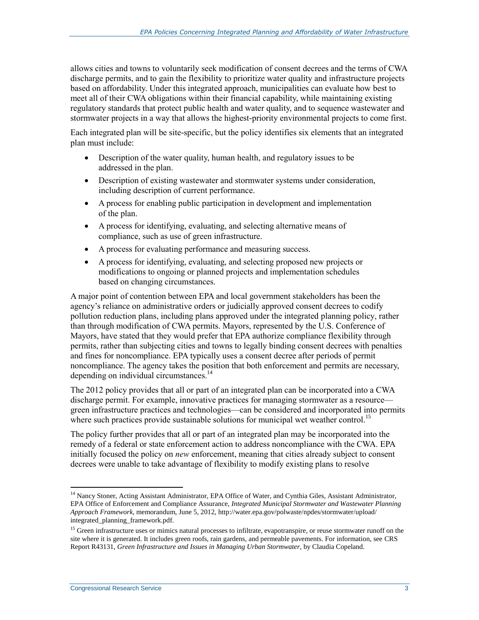allows cities and towns to voluntarily seek modification of consent decrees and the terms of CWA discharge permits, and to gain the flexibility to prioritize water quality and infrastructure projects based on affordability. Under this integrated approach, municipalities can evaluate how best to meet all of their CWA obligations within their financial capability, while maintaining existing regulatory standards that protect public health and water quality, and to sequence wastewater and stormwater projects in a way that allows the highest-priority environmental projects to come first.

Each integrated plan will be site-specific, but the policy identifies six elements that an integrated plan must include:

- Description of the water quality, human health, and regulatory issues to be addressed in the plan.
- Description of existing wastewater and stormwater systems under consideration, including description of current performance.
- A process for enabling public participation in development and implementation of the plan.
- A process for identifying, evaluating, and selecting alternative means of compliance, such as use of green infrastructure.
- A process for evaluating performance and measuring success.
- A process for identifying, evaluating, and selecting proposed new projects or modifications to ongoing or planned projects and implementation schedules based on changing circumstances.

A major point of contention between EPA and local government stakeholders has been the agency's reliance on administrative orders or judicially approved consent decrees to codify pollution reduction plans, including plans approved under the integrated planning policy, rather than through modification of CWA permits. Mayors, represented by the U.S. Conference of Mayors, have stated that they would prefer that EPA authorize compliance flexibility through permits, rather than subjecting cities and towns to legally binding consent decrees with penalties and fines for noncompliance. EPA typically uses a consent decree after periods of permit noncompliance. The agency takes the position that both enforcement and permits are necessary, depending on individual circumstances.<sup>14</sup>

The 2012 policy provides that all or part of an integrated plan can be incorporated into a CWA discharge permit. For example, innovative practices for managing stormwater as a resource green infrastructure practices and technologies—can be considered and incorporated into permits where such practices provide sustainable solutions for municipal wet weather control.<sup>15</sup>

The policy further provides that all or part of an integrated plan may be incorporated into the remedy of a federal or state enforcement action to address noncompliance with the CWA. EPA initially focused the policy on *new* enforcement, meaning that cities already subject to consent decrees were unable to take advantage of flexibility to modify existing plans to resolve

<sup>&</sup>lt;sup>14</sup> Nancy Stoner, Acting Assistant Administrator, EPA Office of Water, and Cynthia Giles, Assistant Administrator, EPA Office of Enforcement and Compliance Assurance, *Integrated Municipal Stormwater and Wastewater Planning Approach Framework*, memorandum, June 5, 2012, http://water.epa.gov/polwaste/npdes/stormwater/upload/ integrated\_planning\_framework.pdf.

<sup>&</sup>lt;sup>15</sup> Green infrastructure uses or mimics natural processes to infiltrate, evapotranspire, or reuse stormwater runoff on the site where it is generated. It includes green roofs, rain gardens, and permeable pavements. For information, see CRS Report R43131, *Green Infrastructure and Issues in Managing Urban Stormwater*, by Claudia Copeland.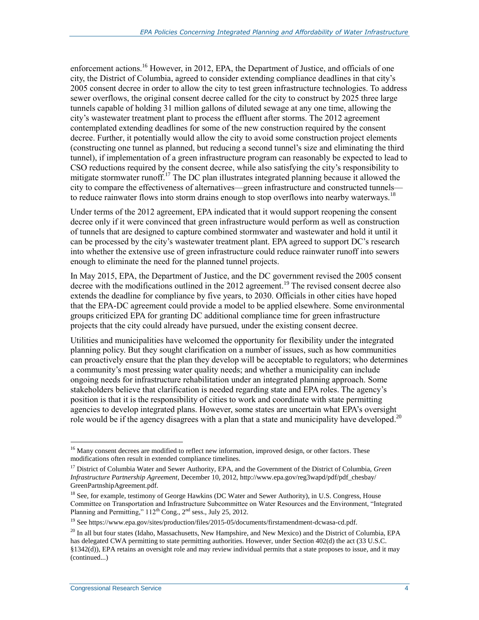enforcement actions.<sup>16</sup> However, in 2012, EPA, the Department of Justice, and officials of one city, the District of Columbia, agreed to consider extending compliance deadlines in that city's 2005 consent decree in order to allow the city to test green infrastructure technologies. To address sewer overflows, the original consent decree called for the city to construct by 2025 three large tunnels capable of holding 31 million gallons of diluted sewage at any one time, allowing the city's wastewater treatment plant to process the effluent after storms. The 2012 agreement contemplated extending deadlines for some of the new construction required by the consent decree. Further, it potentially would allow the city to avoid some construction project elements (constructing one tunnel as planned, but reducing a second tunnel's size and eliminating the third tunnel), if implementation of a green infrastructure program can reasonably be expected to lead to CSO reductions required by the consent decree, while also satisfying the city's responsibility to mitigate stormwater runoff.<sup>17</sup> The DC plan illustrates integrated planning because it allowed the city to compare the effectiveness of alternatives—green infrastructure and constructed tunnels to reduce rainwater flows into storm drains enough to stop overflows into nearby waterways.<sup>18</sup>

Under terms of the 2012 agreement, EPA indicated that it would support reopening the consent decree only if it were convinced that green infrastructure would perform as well as construction of tunnels that are designed to capture combined stormwater and wastewater and hold it until it can be processed by the city's wastewater treatment plant. EPA agreed to support DC's research into whether the extensive use of green infrastructure could reduce rainwater runoff into sewers enough to eliminate the need for the planned tunnel projects.

In May 2015, EPA, the Department of Justice, and the DC government revised the 2005 consent decree with the modifications outlined in the 2012 agreement.<sup>19</sup> The revised consent decree also extends the deadline for compliance by five years, to 2030. Officials in other cities have hoped that the EPA-DC agreement could provide a model to be applied elsewhere. Some environmental groups criticized EPA for granting DC additional compliance time for green infrastructure projects that the city could already have pursued, under the existing consent decree.

Utilities and municipalities have welcomed the opportunity for flexibility under the integrated planning policy. But they sought clarification on a number of issues, such as how communities can proactively ensure that the plan they develop will be acceptable to regulators; who determines a community's most pressing water quality needs; and whether a municipality can include ongoing needs for infrastructure rehabilitation under an integrated planning approach. Some stakeholders believe that clarification is needed regarding state and EPA roles. The agency's position is that it is the responsibility of cities to work and coordinate with state permitting agencies to develop integrated plans. However, some states are uncertain what EPA's oversight role would be if the agency disagrees with a plan that a state and municipality have developed.<sup>20</sup>

<sup>&</sup>lt;sup>16</sup> Many consent decrees are modified to reflect new information, improved design, or other factors. These modifications often result in extended compliance timelines.

<sup>17</sup> District of Columbia Water and Sewer Authority, EPA, and the Government of the District of Columbia, *Green Infrastructure Partnership Agreement*, December 10, 2012, http://www.epa.gov/reg3wapd/pdf/pdf\_chesbay/ GreenPartnshipAgreement.pdf.

<sup>&</sup>lt;sup>18</sup> See, for example, testimony of George Hawkins (DC Water and Sewer Authority), in U.S. Congress, House Committee on Transportation and Infrastructure Subcommittee on Water Resources and the Environment, "Integrated Planning and Permitting,"  $112^{th}$  Cong.,  $2^{nd}$  sess., July 25, 2012.

<sup>&</sup>lt;sup>19</sup> See https://www.epa.gov/sites/production/files/2015-05/documents/firstamendment-dcwasa-cd.pdf.

 $^{20}$  In all but four states (Idaho, Massachusetts, New Hampshire, and New Mexico) and the District of Columbia, EPA has delegated CWA permitting to state permitting authorities. However, under Section 402(d) the act (33 U.S.C. §1342(d)), EPA retains an oversight role and may review individual permits that a state proposes to issue, and it may (continued...)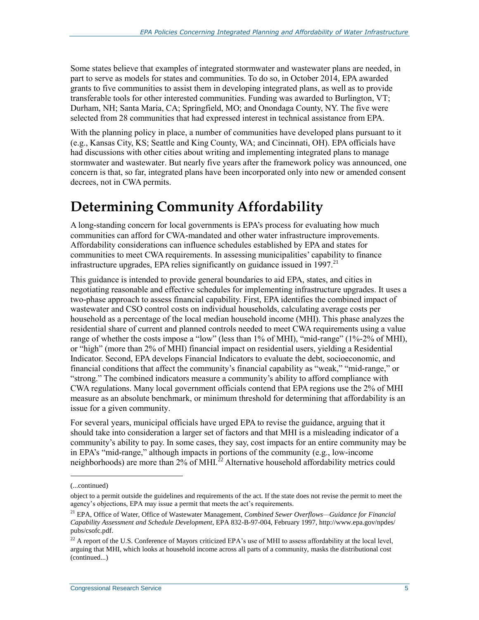Some states believe that examples of integrated stormwater and wastewater plans are needed, in part to serve as models for states and communities. To do so, in October 2014, EPA awarded grants to five communities to assist them in developing integrated plans, as well as to provide transferable tools for other interested communities. Funding was awarded to Burlington, VT; Durham, NH; Santa Maria, CA; Springfield, MO; and Onondaga County, NY. The five were selected from 28 communities that had expressed interest in technical assistance from EPA.

With the planning policy in place, a number of communities have developed plans pursuant to it (e.g., Kansas City, KS; Seattle and King County, WA; and Cincinnati, OH). EPA officials have had discussions with other cities about writing and implementing integrated plans to manage stormwater and wastewater. But nearly five years after the framework policy was announced, one concern is that, so far, integrated plans have been incorporated only into new or amended consent decrees, not in CWA permits.

## **Determining Community Affordability**

A long-standing concern for local governments is EPA's process for evaluating how much communities can afford for CWA-mandated and other water infrastructure improvements. Affordability considerations can influence schedules established by EPA and states for communities to meet CWA requirements. In assessing municipalities' capability to finance infrastructure upgrades. EPA relies significantly on guidance issued in 1997.<sup>21</sup>

This guidance is intended to provide general boundaries to aid EPA, states, and cities in negotiating reasonable and effective schedules for implementing infrastructure upgrades. It uses a two-phase approach to assess financial capability. First, EPA identifies the combined impact of wastewater and CSO control costs on individual households, calculating average costs per household as a percentage of the local median household income (MHI). This phase analyzes the residential share of current and planned controls needed to meet CWA requirements using a value range of whether the costs impose a "low" (less than 1% of MHI), "mid-range" (1%-2% of MHI), or "high" (more than 2% of MHI) financial impact on residential users, yielding a Residential Indicator. Second, EPA develops Financial Indicators to evaluate the debt, socioeconomic, and financial conditions that affect the community's financial capability as "weak," "mid-range," or "strong." The combined indicators measure a community's ability to afford compliance with CWA regulations. Many local government officials contend that EPA regions use the 2% of MHI measure as an absolute benchmark, or minimum threshold for determining that affordability is an issue for a given community.

For several years, municipal officials have urged EPA to revise the guidance, arguing that it should take into consideration a larger set of factors and that MHI is a misleading indicator of a community's ability to pay. In some cases, they say, cost impacts for an entire community may be in EPA's "mid-range," although impacts in portions of the community (e.g., low-income neighborhoods) are more than 2% of MHI.<sup>22</sup> Alternative household affordability metrics could

<sup>(...</sup>continued)

object to a permit outside the guidelines and requirements of the act. If the state does not revise the permit to meet the agency's objections, EPA may issue a permit that meets the act's requirements.

<sup>21</sup> EPA, Office of Water, Office of Wastewater Management, *Combined Sewer Overflows—Guidance for Financial Capability Assessment and Schedule Development*, EPA 832-B-97-004, February 1997, http://www.epa.gov/npdes/ pubs/csofc.pdf.

<sup>&</sup>lt;sup>22</sup> A report of the U.S. Conference of Mayors criticized EPA's use of MHI to assess affordability at the local level, arguing that MHI, which looks at household income across all parts of a community, masks the distributional cost (continued...)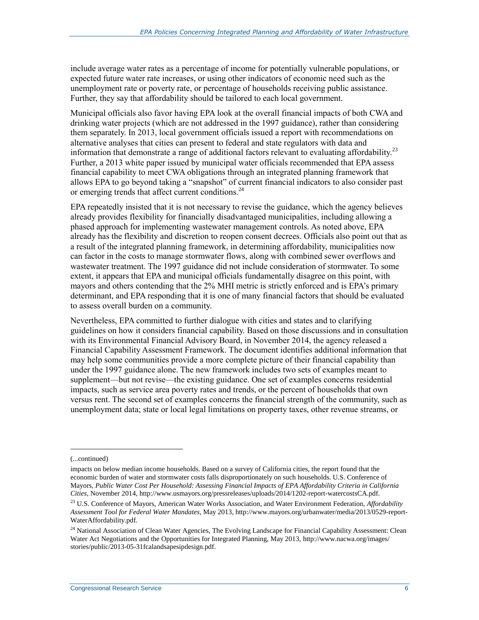include average water rates as a percentage of income for potentially vulnerable populations, or expected future water rate increases, or using other indicators of economic need such as the unemployment rate or poverty rate, or percentage of households receiving public assistance. Further, they say that affordability should be tailored to each local government.

Municipal officials also favor having EPA look at the overall financial impacts of both CWA and drinking water projects (which are not addressed in the 1997 guidance), rather than considering them separately. In 2013, local government officials issued a report with recommendations on alternative analyses that cities can present to federal and state regulators with data and information that demonstrate a range of additional factors relevant to evaluating affordability.<sup>23</sup> Further, a 2013 white paper issued by municipal water officials recommended that EPA assess financial capability to meet CWA obligations through an integrated planning framework that allows EPA to go beyond taking a "snapshot" of current financial indicators to also consider past or emerging trends that affect current conditions.<sup>24</sup>

EPA repeatedly insisted that it is not necessary to revise the guidance, which the agency believes already provides flexibility for financially disadvantaged municipalities, including allowing a phased approach for implementing wastewater management controls. As noted above, EPA already has the flexibility and discretion to reopen consent decrees. Officials also point out that as a result of the integrated planning framework, in determining affordability, municipalities now can factor in the costs to manage stormwater flows, along with combined sewer overflows and wastewater treatment. The 1997 guidance did not include consideration of stormwater. To some extent, it appears that EPA and municipal officials fundamentally disagree on this point, with mayors and others contending that the 2% MHI metric is strictly enforced and is EPA's primary determinant, and EPA responding that it is one of many financial factors that should be evaluated to assess overall burden on a community.

Nevertheless, EPA committed to further dialogue with cities and states and to clarifying guidelines on how it considers financial capability. Based on those discussions and in consultation with its Environmental Financial Advisory Board, in November 2014, the agency released a Financial Capability Assessment Framework. The document identifies additional information that may help some communities provide a more complete picture of their financial capability than under the 1997 guidance alone. The new framework includes two sets of examples meant to supplement—but not revise—the existing guidance. One set of examples concerns residential impacts, such as service area poverty rates and trends, or the percent of households that own versus rent. The second set of examples concerns the financial strength of the community, such as unemployment data; state or local legal limitations on property taxes, other revenue streams, or

<sup>(...</sup>continued)

impacts on below median income households. Based on a survey of California cities, the report found that the economic burden of water and stormwater costs falls disproportionately on such households. U.S. Conference of Mayors, *Public Water Cost Per Household: Assessing Financial Impacts of EPA Affordability Criteria in California Cities*, November 2014, http://www.usmayors.org/pressreleases/uploads/2014/1202-report-watercostsCA.pdf.

<sup>23</sup> U.S. Conference of Mayors, American Water Works Association, and Water Environment Federation, *Affordability Assessment Tool for Federal Water Mandates*, May 2013, http://www.mayors.org/urbanwater/media/2013/0529-report-WaterAffordability.pdf.

<sup>&</sup>lt;sup>24</sup> National Association of Clean Water Agencies, The Evolving Landscape for Financial Capability Assessment: Clean Water Act Negotiations and the Opportunities for Integrated Planning, May 2013, http://www.nacwa.org/images/ stories/public/2013-05-31fcalandsapesipdesign.pdf.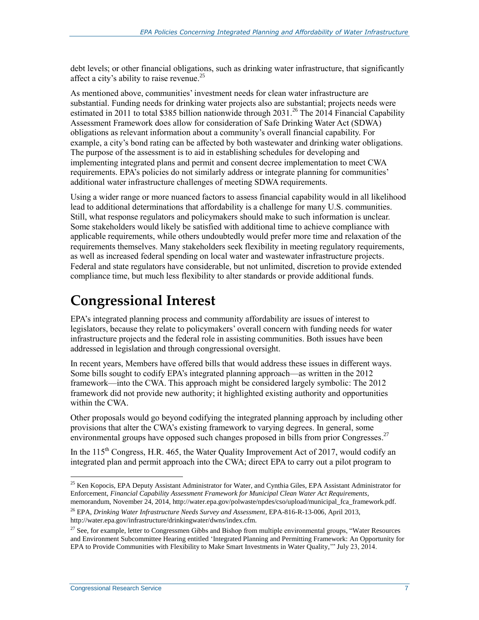debt levels; or other financial obligations, such as drinking water infrastructure, that significantly affect a city's ability to raise revenue.<sup>25</sup>

As mentioned above, communities' investment needs for clean water infrastructure are substantial. Funding needs for drinking water projects also are substantial; projects needs were estimated in 2011 to total \$385 billion nationwide through  $2031<sup>26</sup>$  The 2014 Financial Capability Assessment Framework does allow for consideration of Safe Drinking Water Act (SDWA) obligations as relevant information about a community's overall financial capability. For example, a city's bond rating can be affected by both wastewater and drinking water obligations. The purpose of the assessment is to aid in establishing schedules for developing and implementing integrated plans and permit and consent decree implementation to meet CWA requirements. EPA's policies do not similarly address or integrate planning for communities' additional water infrastructure challenges of meeting SDWA requirements.

Using a wider range or more nuanced factors to assess financial capability would in all likelihood lead to additional determinations that affordability is a challenge for many U.S. communities. Still, what response regulators and policymakers should make to such information is unclear. Some stakeholders would likely be satisfied with additional time to achieve compliance with applicable requirements, while others undoubtedly would prefer more time and relaxation of the requirements themselves. Many stakeholders seek flexibility in meeting regulatory requirements, as well as increased federal spending on local water and wastewater infrastructure projects. Federal and state regulators have considerable, but not unlimited, discretion to provide extended compliance time, but much less flexibility to alter standards or provide additional funds.

### **Congressional Interest**

EPA's integrated planning process and community affordability are issues of interest to legislators, because they relate to policymakers' overall concern with funding needs for water infrastructure projects and the federal role in assisting communities. Both issues have been addressed in legislation and through congressional oversight.

In recent years, Members have offered bills that would address these issues in different ways. Some bills sought to codify EPA's integrated planning approach—as written in the 2012 framework—into the CWA. This approach might be considered largely symbolic: The 2012 framework did not provide new authority; it highlighted existing authority and opportunities within the CWA.

Other proposals would go beyond codifying the integrated planning approach by including other provisions that alter the CWA's existing framework to varying degrees. In general, some environmental groups have opposed such changes proposed in bills from prior Congresses.<sup>27</sup>

In the  $115<sup>th</sup>$  Congress, H.R. 465, the Water Quality Improvement Act of 2017, would codify an integrated plan and permit approach into the CWA; direct EPA to carry out a pilot program to

<sup>&</sup>lt;sup>25</sup> Ken Kopocis, EPA Deputy Assistant Administrator for Water, and Cynthia Giles, EPA Assistant Administrator for Enforcement, *Financial Capability Assessment Framework for Municipal Clean Water Act Requirements*, memorandum, November 24, 2014, http://water.epa.gov/polwaste/npdes/cso/upload/municipal\_fca\_framework.pdf.

<sup>26</sup> EPA, *Drinking Water Infrastructure Needs Survey and Assessment*, EPA-816-R-13-006, April 2013, http://water.epa.gov/infrastructure/drinkingwater/dwns/index.cfm.

<sup>&</sup>lt;sup>27</sup> See, for example, letter to Congressmen Gibbs and Bishop from multiple environmental groups, "Water Resources and Environment Subcommittee Hearing entitled 'Integrated Planning and Permitting Framework: An Opportunity for EPA to Provide Communities with Flexibility to Make Smart Investments in Water Quality,'" July 23, 2014.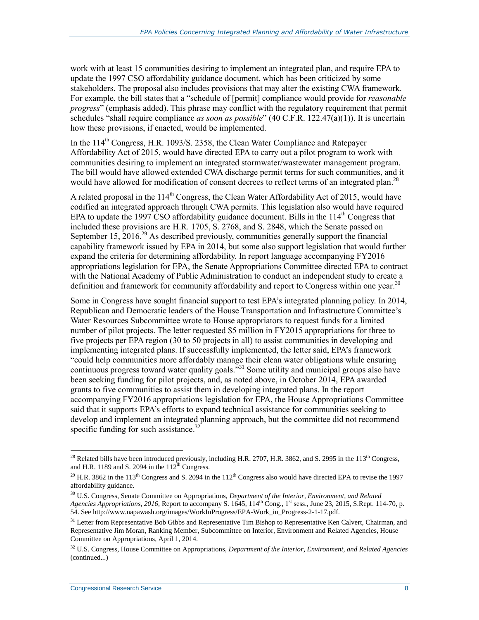work with at least 15 communities desiring to implement an integrated plan, and require EPA to update the 1997 CSO affordability guidance document, which has been criticized by some stakeholders. The proposal also includes provisions that may alter the existing CWA framework. For example, the bill states that a "schedule of [permit] compliance would provide for *reasonable progress*" (emphasis added). This phrase may conflict with the regulatory requirement that permit schedules "shall require compliance *as soon as possible*" (40 C.F.R. 122.47(a)(1)). It is uncertain how these provisions, if enacted, would be implemented.

In the  $114<sup>th</sup>$  Congress, H.R. 1093/S. 2358, the Clean Water Compliance and Ratepayer Affordability Act of 2015, would have directed EPA to carry out a pilot program to work with communities desiring to implement an integrated stormwater/wastewater management program. The bill would have allowed extended CWA discharge permit terms for such communities, and it would have allowed for modification of consent decrees to reflect terms of an integrated plan.<sup>28</sup>

A related proposal in the  $114<sup>th</sup>$  Congress, the Clean Water Affordability Act of 2015, would have codified an integrated approach through CWA permits. This legislation also would have required EPA to update the 1997 CSO affordability guidance document. Bills in the  $114<sup>th</sup>$  Congress that included these provisions are H.R. 1705, S. 2768, and S. 2848, which the Senate passed on September 15, 2016.<sup>29</sup> As described previously, communities generally support the financial capability framework issued by EPA in 2014, but some also support legislation that would further expand the criteria for determining affordability. In report language accompanying FY2016 appropriations legislation for EPA, the Senate Appropriations Committee directed EPA to contract with the National Academy of Public Administration to conduct an independent study to create a definition and framework for community affordability and report to Congress within one year.<sup>30</sup>

Some in Congress have sought financial support to test EPA's integrated planning policy. In 2014, Republican and Democratic leaders of the House Transportation and Infrastructure Committee's Water Resources Subcommittee wrote to House appropriators to request funds for a limited number of pilot projects. The letter requested \$5 million in FY2015 appropriations for three to five projects per EPA region (30 to 50 projects in all) to assist communities in developing and implementing integrated plans. If successfully implemented, the letter said, EPA's framework "could help communities more affordably manage their clean water obligations while ensuring continuous progress toward water quality goals.<sup>331</sup> Some utility and municipal groups also have been seeking funding for pilot projects, and, as noted above, in October 2014, EPA awarded grants to five communities to assist them in developing integrated plans. In the report accompanying FY2016 appropriations legislation for EPA, the House Appropriations Committee said that it supports EPA's efforts to expand technical assistance for communities seeking to develop and implement an integrated planning approach, but the committee did not recommend specific funding for such assistance. $32$ 

 $\overline{a}$ <sup>28</sup> Related bills have been introduced previously, including H.R. 2707, H.R. 3862, and S. 2995 in the 113<sup>th</sup> Congress, and H.R. 1189 and S. 2094 in the  $112^{th}$  Congress.

<sup>&</sup>lt;sup>29</sup> H.R. 3862 in the 113<sup>th</sup> Congress and S. 2094 in the 112<sup>th</sup> Congress also would have directed EPA to revise the 1997 affordability guidance.

<sup>30</sup> U.S. Congress, Senate Committee on Appropriations, *Department of the Interior, Environment, and Related Agencies Appropriations, 2016*, Report to accompany S. 1645, 114<sup>th</sup> Cong., 1<sup>st</sup> sess., June 23, 2015, S.Rept. 114-70, p. 54. See http://www.napawash.org/images/WorkInProgress/EPA-Work\_in\_Progress-2-1-17.pdf.

<sup>&</sup>lt;sup>31</sup> Letter from Representative Bob Gibbs and Representative Tim Bishop to Representative Ken Calvert, Chairman, and Representative Jim Moran, Ranking Member, Subcommittee on Interior, Environment and Related Agencies, House Committee on Appropriations, April 1, 2014.

<sup>32</sup> U.S. Congress, House Committee on Appropriations, *Department of the Interior, Environment, and Related Agencies*  (continued...)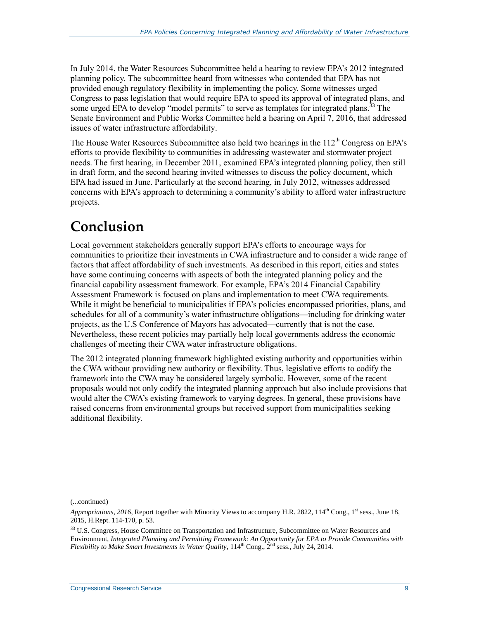In July 2014, the Water Resources Subcommittee held a hearing to review EPA's 2012 integrated planning policy. The subcommittee heard from witnesses who contended that EPA has not provided enough regulatory flexibility in implementing the policy. Some witnesses urged Congress to pass legislation that would require EPA to speed its approval of integrated plans, and some urged EPA to develop "model permits" to serve as templates for integrated plans.<sup>33</sup> The Senate Environment and Public Works Committee held a hearing on April 7, 2016, that addressed issues of water infrastructure affordability.

The House Water Resources Subcommittee also held two hearings in the  $112<sup>th</sup>$  Congress on EPA's efforts to provide flexibility to communities in addressing wastewater and stormwater project needs. The first hearing, in December 2011, examined EPA's integrated planning policy, then still in draft form, and the second hearing invited witnesses to discuss the policy document, which EPA had issued in June. Particularly at the second hearing, in July 2012, witnesses addressed concerns with EPA's approach to determining a community's ability to afford water infrastructure projects.

### **Conclusion**

Local government stakeholders generally support EPA's efforts to encourage ways for communities to prioritize their investments in CWA infrastructure and to consider a wide range of factors that affect affordability of such investments. As described in this report, cities and states have some continuing concerns with aspects of both the integrated planning policy and the financial capability assessment framework. For example, EPA's 2014 Financial Capability Assessment Framework is focused on plans and implementation to meet CWA requirements. While it might be beneficial to municipalities if EPA's policies encompassed priorities, plans, and schedules for all of a community's water infrastructure obligations—including for drinking water projects, as the U.S Conference of Mayors has advocated—currently that is not the case. Nevertheless, these recent policies may partially help local governments address the economic challenges of meeting their CWA water infrastructure obligations.

The 2012 integrated planning framework highlighted existing authority and opportunities within the CWA without providing new authority or flexibility. Thus, legislative efforts to codify the framework into the CWA may be considered largely symbolic. However, some of the recent proposals would not only codify the integrated planning approach but also include provisions that would alter the CWA's existing framework to varying degrees. In general, these provisions have raised concerns from environmental groups but received support from municipalities seeking additional flexibility.

<sup>(...</sup>continued)

*Appropriations, 2016*, Report together with Minority Views to accompany H.R. 2822, 114<sup>th</sup> Cong., 1<sup>st</sup> sess., June 18, 2015, H.Rept. 114-170, p. 53.

<sup>&</sup>lt;sup>33</sup> U.S. Congress, House Committee on Transportation and Infrastructure, Subcommittee on Water Resources and Environment, *Integrated Planning and Permitting Framework: An Opportunity for EPA to Provide Communities with Flexibility to Make Smart Investments in Water Quality*, 114<sup>th</sup> Cong., 2<sup>nd</sup> sess., July 24, 2014.